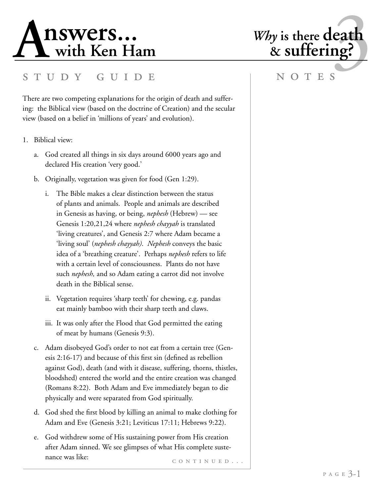

# S T U D Y G U I D E N O T E S

There are two competing explanations for the origin of death and suffering: the Biblical view (based on the doctrine of Creation) and the secular view (based on a belief in 'millions of years' and evolution).

- 1. Biblical view:
	- a. God created all things in six days around 6000 years ago and declared His creation 'very good.'
	- b. Originally, vegetation was given for food (Gen 1:29).
		- i. The Bible makes a clear distinction between the status of plants and animals. People and animals are described in Genesis as having, or being, *nephesh* (Hebrew) — see Genesis 1:20,21,24 where *nephesh chayyah* is translated 'living creatures', and Genesis 2:7 where Adam became a 'living soul' (*nephesh chayyah)*. *Nephesh* conveys the basic idea of a 'breathing creature'. Perhaps *nephesh* refers to life with a certain level of consciousness. Plants do not have such *nephesh,* and so Adam eating a carrot did not involve death in the Biblical sense.
		- ii. Vegetation requires 'sharp teeth' for chewing, e.g. pandas eat mainly bamboo with their sharp teeth and claws.
		- iii. It was only after the Flood that God permitted the eating of meat by humans (Genesis 9:3).
	- c. Adam disobeyed God's order to not eat from a certain tree (Genesis 2:16-17) and because of this first sin (defined as rebellion against God), death (and with it disease, suffering, thorns, thistles, bloodshed) entered the world and the entire creation was changed (Romans 8:22). Both Adam and Eve immediately began to die physically and were separated from God spiritually.
	- d. God shed the first blood by killing an animal to make clothing for Adam and Eve (Genesis 3:21; Leviticus 17:11; Hebrews 9:22).
	- CONTINUED... e. God withdrew some of His sustaining power from His creation after Adam sinned. We see glimpses of what His complete sustenance was like: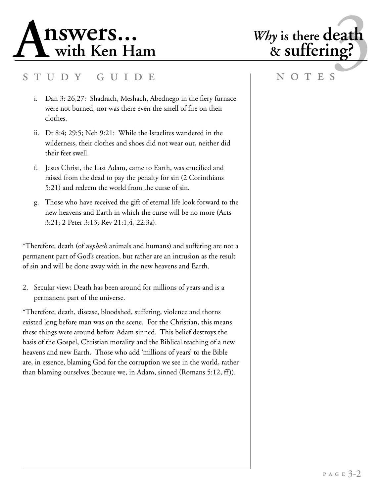

# S T U D Y G U I D E N O T E S

- i. Dan 3: 26,27: Shadrach, Meshach, Abednego in the fiery furnace were not burned, nor was there even the smell of fire on their clothes.
- ii. Dt 8:4; 29:5; Neh 9:21: While the Israelites wandered in the wilderness, their clothes and shoes did not wear out, neither did their feet swell.
- f. Jesus Christ, the Last Adam, came to Earth, was crucified and raised from the dead to pay the penalty for sin (2 Corinthians 5:21) and redeem the world from the curse of sin.
- g. Those who have received the gift of eternal life look forward to the new heavens and Earth in which the curse will be no more (Acts 3:21; 2 Peter 3:13; Rev 21:1,4, 22:3a).

\*Therefore, death (of *nephesh* animals and humans) and suffering are not a permanent part of God's creation, but rather are an intrusion as the result of sin and will be done away with in the new heavens and Earth.

2. Secular view: Death has been around for millions of years and is a permanent part of the universe.

**\***Therefore, death, disease, bloodshed, suffering, violence and thorns existed long before man was on the scene. For the Christian, this means these things were around before Adam sinned. This belief destroys the basis of the Gospel, Christian morality and the Biblical teaching of a new heavens and new Earth. Those who add 'millions of years' to the Bible are, in essence, blaming God for the corruption we see in the world, rather than blaming ourselves (because we, in Adam, sinned (Romans 5:12, ff)).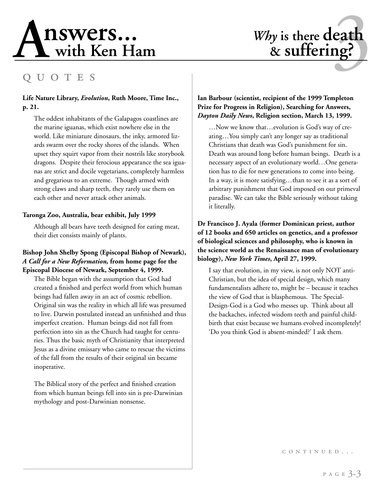# **A** 1 SWers... Why is there death<br>
with Ken Ham<br>
Q U O T E S

# *Why* is there **death** & suffering?

# q u o t e s

## **Life Nature Library,** *Evolution***, Ruth Moore, Time Inc., p. 21.**

The oddest inhabitants of the Galapagos coastlines are the marine iguanas, which exist nowhere else in the world. Like miniature dinosaurs, the inky, armored lizards swarm over the rocky shores of the islands. When upset they squirt vapor from their nostrils like storybook dragons. Despite their ferocious appearance the sea iguanas are strict and docile vegetarians, completely harmless and gregarious to an extreme. Though armed with strong claws and sharp teeth, they rarely use them on each other and never attack other animals.

### **Taronga Zoo, Australia, bear exhibit, July 1999**

Although all bears have teeth designed for eating meat, their diet consists mainly of plants.

### **Bishop John Shelby Spong (Episcopal Bishop of Newark),**  *A Call for a New Reformation,* **from home page for the Episcopal Diocese of Newark, September 4, 1999.**

The Bible began with the assumption that God had created a finished and perfect world from which human beings had fallen away in an act of cosmic rebellion. Original sin was the reality in which all life was presumed to live. Darwin postulated instead an unfinished and thus imperfect creation. Human beings did not fall from perfection into sin as the Church had taught for centuries. Thus the basic myth of Christianity that interpreted Jesus as a divine emissary who came to rescue the victims of the fall from the results of their original sin became inoperative.

The Biblical story of the perfect and finished creation from which human beings fell into sin is pre-Darwinian mythology and post-Darwinian nonsense.

## **Ian Barbour (scientist, recipient of the 1999 Templeton Prize for Progress in Religion), Searching for Answers,**  *Dayton Daily News***, Religion section, March 13, 1999.**

…Now we know that…evolution is God's way of creating…You simply can't any longer say as traditional Christians that death was God's punishment for sin. Death was around long before human beings. Death is a necessary aspect of an evolutionary world…One generation has to die for new generations to come into being. In a way, it is more satisfying…than to see it as a sort of arbitrary punishment that God imposed on our primeval paradise. We can take the Bible seriously without taking it literally.

## **Dr Francisco J. Ayala (former Dominican priest, author of 12 books and 650 articles on genetics, and a professor of biological sciences and philosophy, who is known in the science world as the Renaissance man of evolutionary biology),** *New York Times***, April 27, 1999.**

I say that evolution, in my view, is not only NOT anti-Christian, but the idea of special design, which many fundamentalists adhere to, might be – because it teaches the view of God that is blasphemous. The Special-Design-God is a God who messes up. Think about all the backaches, infected wisdom teeth and painful childbirth that exist because we humans evolved incompletely! 'Do you think God is absent-minded?' I ask them.

c o n t i n u e d . . .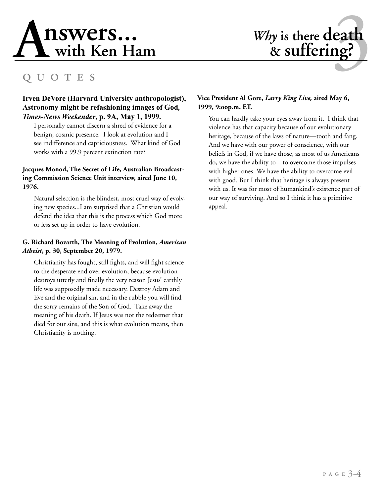# **<sup>A</sup>** 3 **nswers... with Ken Ham** *Why* **is there death**

# *Why* is there **death** & suffering?

# q u o t e s

### **Irven DeVore (Harvard University anthropologist), Astronomy might be refashioning images of God***, Times-News Weekender***, p. 9A, May 1, 1999.**

I personally cannot discern a shred of evidence for a benign, cosmic presence. I look at evolution and I see indifference and capriciousness. What kind of God works with a 99.9 percent extinction rate?

### **Jacques Monod, The Secret of Life, Australian Broadcasting Commission Science Unit interview, aired June 10, 1976.**

Natural selection is the blindest, most cruel way of evolving new species...I am surprised that a Christian would defend the idea that this is the process which God more or less set up in order to have evolution.

#### **G. Richard Bozarth, The Meaning of Evolution,** *American Atheist***, p. 30, September 20, 1979.**

Christianity has fought, still fights, and will fight science to the desperate end over evolution, because evolution destroys utterly and finally the very reason Jesus' earthly life was supposedly made necessary. Destroy Adam and Eve and the original sin, and in the rubble you will find the sorry remains of the Son of God. Take away the meaning of his death. If Jesus was not the redeemer that died for our sins, and this is what evolution means, then Christianity is nothing.

### **Vice President Al Gore,** *Larry King Live,* **aired May 6, 1999, 9:oop.m. ET.**

You can hardly take your eyes away from it. I think that violence has that capacity because of our evolutionary heritage, because of the laws of nature—tooth and fang. And we have with our power of conscience, with our beliefs in God, if we have those, as most of us Americans do, we have the ability to—to overcome those impulses with higher ones. We have the ability to overcome evil with good. But I think that heritage is always present with us. It was for most of humankind's existence part of our way of surviving. And so I think it has a primitive appeal.